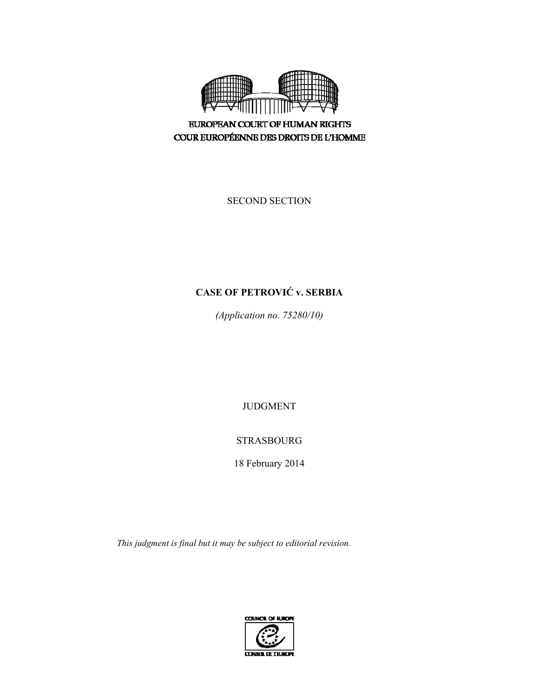

**EUROPEAN COURT OF HUMAN RIGHTS** COUR EUROPÉENNE DES DROITS DE L'HOMME

SECOND SECTION

# **CASE OF PETROVIĆ v. SERBIA**

*(Application no. 75280/10)* 

JUDGMENT

STRASBOURG

18 February 2014

*This judgment is final but it may be subject to editorial revision.* 

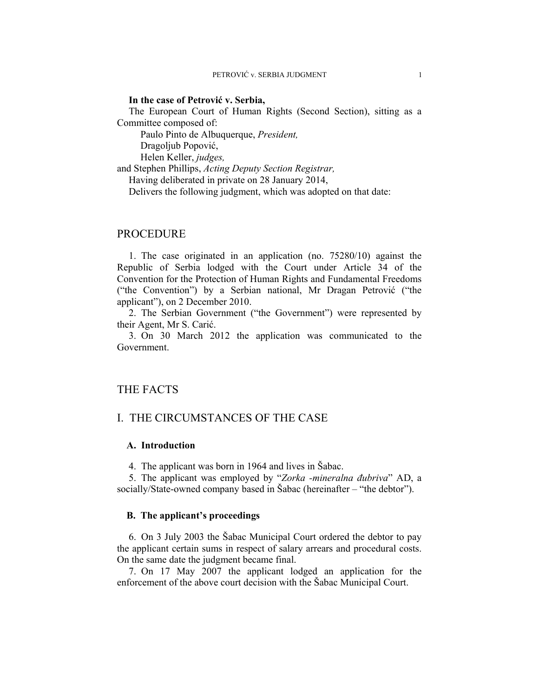#### **In the case of Petrović v. Serbia,**

The European Court of Human Rights (Second Section), sitting as a Committee composed of:

Paulo Pinto de Albuquerque, *President,* 

Dragoljub Popović,

Helen Keller, *judges,*

and Stephen Phillips, *Acting Deputy Section Registrar,*

Having deliberated in private on 28 January 2014,

Delivers the following judgment, which was adopted on that date:

### PROCEDURE

1. The case originated in an application (no. 75280/10) against the Republic of Serbia lodged with the Court under Article 34 of the Convention for the Protection of Human Rights and Fundamental Freedoms ("the Convention") by a Serbian national, Mr Dragan Petrović ("the applicant"), on 2 December 2010.

2. The Serbian Government ("the Government") were represented by their Agent, Mr S. Carić.

3. On 30 March 2012 the application was communicated to the Government.

## THE FACTS

## I. THE CIRCUMSTANCES OF THE CASE

### **A. Introduction**

4. The applicant was born in 1964 and lives in Šabac.

5. The applicant was employed by "*Zorka -mineralna đubriva*" AD, a socially/State-owned company based in Šabac (hereinafter – "the debtor").

#### **B. The applicant's proceedings**

6. On 3 July 2003 the Šabac Municipal Court ordered the debtor to pay the applicant certain sums in respect of salary arrears and procedural costs. On the same date the judgment became final.

7. On 17 May 2007 the applicant lodged an application for the enforcement of the above court decision with the Šabac Municipal Court.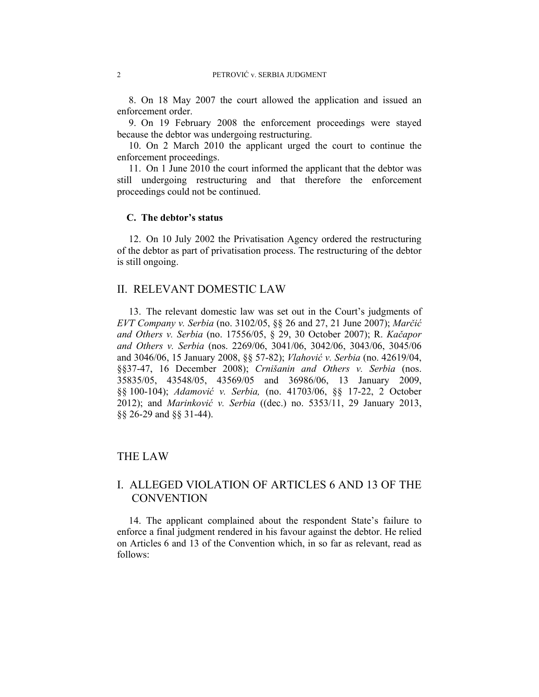8. On 18 May 2007 the court allowed the application and issued an enforcement order.

9. On 19 February 2008 the enforcement proceedings were stayed because the debtor was undergoing restructuring.

10. On 2 March 2010 the applicant urged the court to continue the enforcement proceedings.

11. On 1 June 2010 the court informed the applicant that the debtor was still undergoing restructuring and that therefore the enforcement proceedings could not be continued.

### **C. The debtor's status**

12. On 10 July 2002 the Privatisation Agency ordered the restructuring of the debtor as part of privatisation process. The restructuring of the debtor is still ongoing.

### II. RELEVANT DOMESTIC LAW

13. The relevant domestic law was set out in the Court's judgments of *EVT Company v. Serbia* (no. 3102/05, §§ 26 and 27, 21 June 2007); *Marčić and Others v. Serbia* (no. 17556/05, § 29, 30 October 2007); R. *Kačapor and Others v. Serbia* (nos. 2269/06, 3041/06, 3042/06, 3043/06, 3045/06 and 3046/06, 15 January 2008, §§ 57-82); *Vlahović v. Serbia* (no. 42619/04, §§37-47, 16 December 2008); *Crnišanin and Others v. Serbia* (nos. 35835/05, 43548/05, 43569/05 and 36986/06, 13 January 2009, §§ 100-104); *Adamović v. Serbia,* (no. 41703/06, §§ 17-22, 2 October 2012); and *Marinković v. Serbia* ((dec.) no. 5353/11, 29 January 2013, §§ 26-29 and §§ 31-44).

## THE LAW

## I. ALLEGED VIOLATION OF ARTICLES 6 AND 13 OF THE **CONVENTION**

14. The applicant complained about the respondent State's failure to enforce a final judgment rendered in his favour against the debtor. He relied on Articles 6 and 13 of the Convention which, in so far as relevant, read as follows: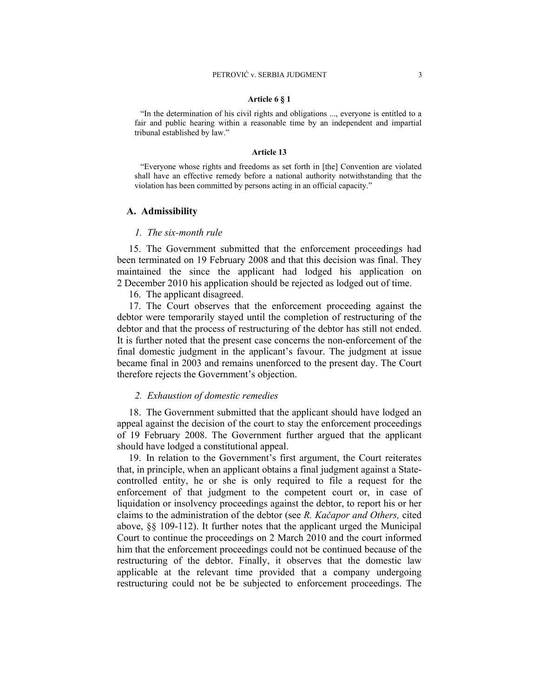#### **Article 6 § 1**

"In the determination of his civil rights and obligations ..., everyone is entitled to a fair and public hearing within a reasonable time by an independent and impartial tribunal established by law."

#### **Article 13**

"Everyone whose rights and freedoms as set forth in [the] Convention are violated shall have an effective remedy before a national authority notwithstanding that the violation has been committed by persons acting in an official capacity."

#### **A. Admissibility**

### *1. The six-month rule*

15. The Government submitted that the enforcement proceedings had been terminated on 19 February 2008 and that this decision was final. They maintained the since the applicant had lodged his application on 2 December 2010 his application should be rejected as lodged out of time.

16. The applicant disagreed.

17. The Court observes that the enforcement proceeding against the debtor were temporarily stayed until the completion of restructuring of the debtor and that the process of restructuring of the debtor has still not ended. It is further noted that the present case concerns the non-enforcement of the final domestic judgment in the applicant's favour. The judgment at issue became final in 2003 and remains unenforced to the present day. The Court therefore rejects the Government's objection.

#### *2. Exhaustion of domestic remedies*

18. The Government submitted that the applicant should have lodged an appeal against the decision of the court to stay the enforcement proceedings of 19 February 2008. The Government further argued that the applicant should have lodged a constitutional appeal.

19. In relation to the Government's first argument, the Court reiterates that, in principle, when an applicant obtains a final judgment against a Statecontrolled entity, he or she is only required to file a request for the enforcement of that judgment to the competent court or, in case of liquidation or insolvency proceedings against the debtor, to report his or her claims to the administration of the debtor (see *R. Kačapor and Others,* cited above, §§ 109-112). It further notes that the applicant urged the Municipal Court to continue the proceedings on 2 March 2010 and the court informed him that the enforcement proceedings could not be continued because of the restructuring of the debtor. Finally, it observes that the domestic law applicable at the relevant time provided that a company undergoing restructuring could not be be subjected to enforcement proceedings. The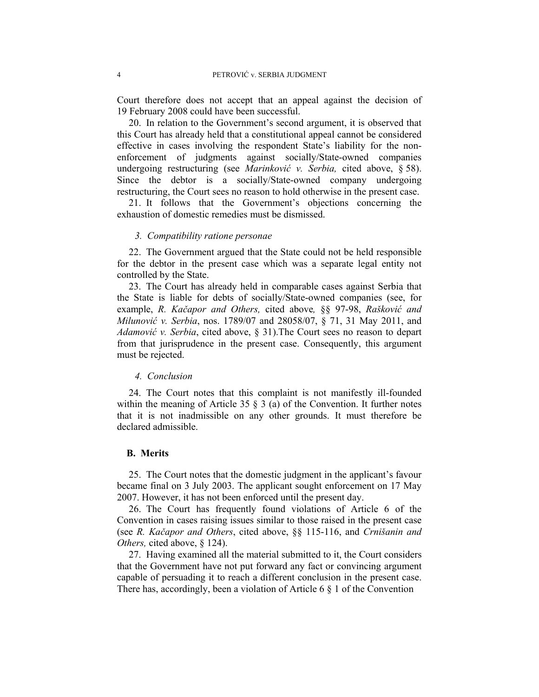Court therefore does not accept that an appeal against the decision of 19 February 2008 could have been successful.

20. In relation to the Government's second argument, it is observed that this Court has already held that a constitutional appeal cannot be considered effective in cases involving the respondent State's liability for the nonenforcement of judgments against socially/State-owned companies undergoing restructuring (see *Marinković v. Serbia,* cited above, § 58). Since the debtor is a socially/State-owned company undergoing restructuring, the Court sees no reason to hold otherwise in the present case.

21. It follows that the Government's objections concerning the exhaustion of domestic remedies must be dismissed.

#### *3. Compatibility ratione personae*

22. The Government argued that the State could not be held responsible for the debtor in the present case which was a separate legal entity not controlled by the State.

23. The Court has already held in comparable cases against Serbia that the State is liable for debts of socially/State-owned companies (see, for example, *R. Kačapor and Others,* cited above*,* §§ 97-98, *Rašković and Milunović v. Serbia*, nos. 1789/07 and 28058/07, § 71, 31 May 2011, and *Adamović v. Serbia*, cited above, § 31).The Court sees no reason to depart from that jurisprudence in the present case. Consequently, this argument must be rejected.

#### *4. Conclusion*

24. The Court notes that this complaint is not manifestly ill-founded within the meaning of Article 35  $\S$  3 (a) of the Convention. It further notes that it is not inadmissible on any other grounds. It must therefore be declared admissible.

#### **B. Merits**

25. The Court notes that the domestic judgment in the applicant's favour became final on 3 July 2003. The applicant sought enforcement on 17 May 2007. However, it has not been enforced until the present day.

26. The Court has frequently found violations of Article 6 of the Convention in cases raising issues similar to those raised in the present case (see *R. Kačapor and Others*, cited above, §§ 115-116, and *Crnišanin and Others,* cited above, § 124).

27. Having examined all the material submitted to it, the Court considers that the Government have not put forward any fact or convincing argument capable of persuading it to reach a different conclusion in the present case. There has, accordingly, been a violation of Article 6 § 1 of the Convention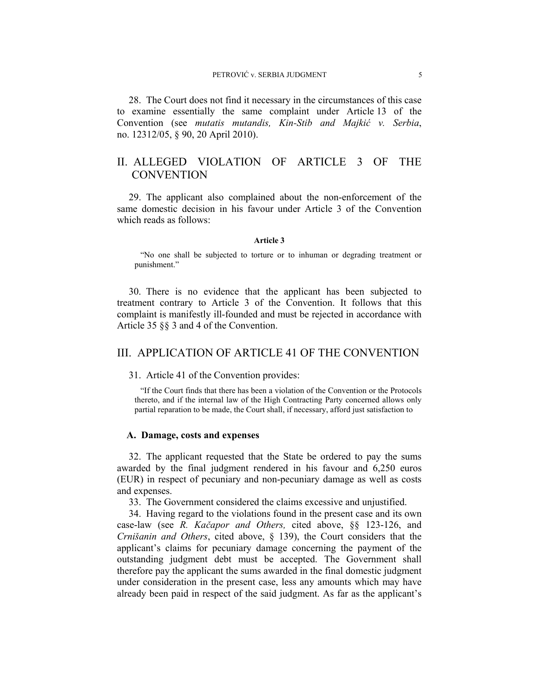28. The Court does not find it necessary in the circumstances of this case to examine essentially the same complaint under Article 13 of the Convention (see *mutatis mutandis, Kin-Stib and Majkić v. Serbia*, no. 12312/05, § 90, 20 April 2010).

## II. ALLEGED VIOLATION OF ARTICLE 3 OF THE **CONVENTION**

29. The applicant also complained about the non-enforcement of the same domestic decision in his favour under Article 3 of the Convention which reads as follows:

#### **Article 3**

"No one shall be subjected to torture or to inhuman or degrading treatment or punishment."

30. There is no evidence that the applicant has been subjected to treatment contrary to Article 3 of the Convention. It follows that this complaint is manifestly ill-founded and must be rejected in accordance with Article 35 §§ 3 and 4 of the Convention.

## III. APPLICATION OF ARTICLE 41 OF THE CONVENTION

31. Article 41 of the Convention provides:

"If the Court finds that there has been a violation of the Convention or the Protocols thereto, and if the internal law of the High Contracting Party concerned allows only partial reparation to be made, the Court shall, if necessary, afford just satisfaction to

#### **A. Damage, costs and expenses**

32. The applicant requested that the State be ordered to pay the sums awarded by the final judgment rendered in his favour and 6,250 euros (EUR) in respect of pecuniary and non-pecuniary damage as well as costs and expenses.

33. The Government considered the claims excessive and unjustified.

34. Having regard to the violations found in the present case and its own case-law (see *R. Kačapor and Others,* cited above, §§ 123-126, and *Crnišanin and Others*, cited above, § 139), the Court considers that the applicant's claims for pecuniary damage concerning the payment of the outstanding judgment debt must be accepted. The Government shall therefore pay the applicant the sums awarded in the final domestic judgment under consideration in the present case, less any amounts which may have already been paid in respect of the said judgment. As far as the applicant's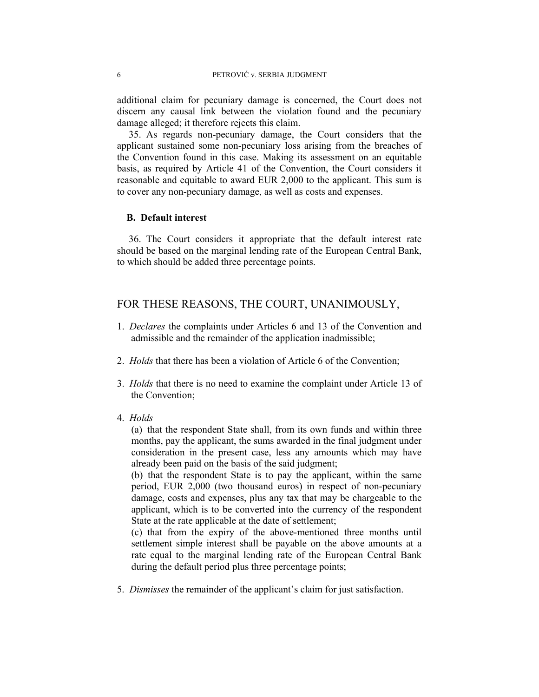additional claim for pecuniary damage is concerned, the Court does not discern any causal link between the violation found and the pecuniary damage alleged; it therefore rejects this claim.

35. As regards non-pecuniary damage, the Court considers that the applicant sustained some non-pecuniary loss arising from the breaches of the Convention found in this case. Making its assessment on an equitable basis, as required by Article 41 of the Convention, the Court considers it reasonable and equitable to award EUR 2,000 to the applicant. This sum is to cover any non-pecuniary damage, as well as costs and expenses.

### **B. Default interest**

36. The Court considers it appropriate that the default interest rate should be based on the marginal lending rate of the European Central Bank, to which should be added three percentage points.

## FOR THESE REASONS, THE COURT, UNANIMOUSLY,

- 1. *Declares* the complaints under Articles 6 and 13 of the Convention and admissible and the remainder of the application inadmissible;
- 2. *Holds* that there has been a violation of Article 6 of the Convention;
- 3. *Holds* that there is no need to examine the complaint under Article 13 of the Convention;
- 4. *Holds*

(a) that the respondent State shall, from its own funds and within three months, pay the applicant, the sums awarded in the final judgment under consideration in the present case, less any amounts which may have already been paid on the basis of the said judgment;

(b) that the respondent State is to pay the applicant, within the same period, EUR 2,000 (two thousand euros) in respect of non-pecuniary damage, costs and expenses, plus any tax that may be chargeable to the applicant, which is to be converted into the currency of the respondent State at the rate applicable at the date of settlement;

(c) that from the expiry of the above-mentioned three months until settlement simple interest shall be payable on the above amounts at a rate equal to the marginal lending rate of the European Central Bank during the default period plus three percentage points;

5. *Dismisses* the remainder of the applicant's claim for just satisfaction.